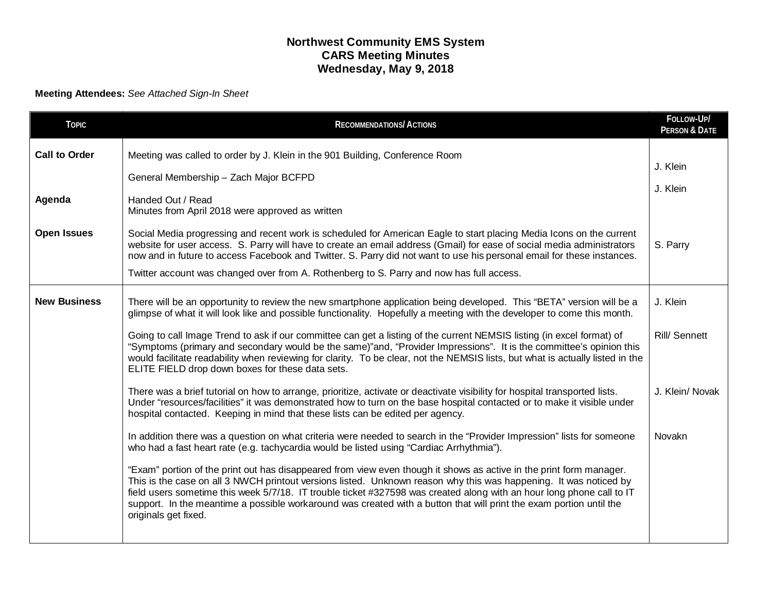## **Northwest Community EMS System CARS Meeting Minutes Wednesday, May 9, 2018**

## **Meeting Attendees:** *See Attached Sign-In Sheet*

| <b>TOPIC</b>         | <b>RECOMMENDATIONS/ACTIONS</b>                                                                                                                                                                                                                                                                                                                                                                                                                                                                                                                                  | FOLLOW-UP/<br><b>PERSON &amp; DATE</b> |
|----------------------|-----------------------------------------------------------------------------------------------------------------------------------------------------------------------------------------------------------------------------------------------------------------------------------------------------------------------------------------------------------------------------------------------------------------------------------------------------------------------------------------------------------------------------------------------------------------|----------------------------------------|
| <b>Call to Order</b> | Meeting was called to order by J. Klein in the 901 Building, Conference Room<br>General Membership - Zach Major BCFPD                                                                                                                                                                                                                                                                                                                                                                                                                                           | J. Klein                               |
| Agenda               | Handed Out / Read<br>Minutes from April 2018 were approved as written                                                                                                                                                                                                                                                                                                                                                                                                                                                                                           | J. Klein                               |
| <b>Open Issues</b>   | Social Media progressing and recent work is scheduled for American Eagle to start placing Media Icons on the current<br>website for user access. S. Parry will have to create an email address (Gmail) for ease of social media administrators<br>now and in future to access Facebook and Twitter. S. Parry did not want to use his personal email for these instances.<br>Twitter account was changed over from A. Rothenberg to S. Parry and now has full access.                                                                                            | S. Parry                               |
| <b>New Business</b>  | There will be an opportunity to review the new smartphone application being developed. This "BETA" version will be a                                                                                                                                                                                                                                                                                                                                                                                                                                            | J. Klein                               |
|                      | glimpse of what it will look like and possible functionality. Hopefully a meeting with the developer to come this month.<br>Going to call Image Trend to ask if our committee can get a listing of the current NEMSIS listing (in excel format) of<br>"Symptoms (primary and secondary would be the same)"and, "Provider Impressions". It is the committee's opinion this<br>would facilitate readability when reviewing for clarity. To be clear, not the NEMSIS lists, but what is actually listed in the<br>ELITE FIELD drop down boxes for these data sets. | <b>Rill/Sennett</b>                    |
|                      | There was a brief tutorial on how to arrange, prioritize, activate or deactivate visibility for hospital transported lists.<br>Under "resources/facilities" it was demonstrated how to turn on the base hospital contacted or to make it visible under<br>hospital contacted. Keeping in mind that these lists can be edited per agency.                                                                                                                                                                                                                        | J. Klein/ Novak                        |
|                      | In addition there was a question on what criteria were needed to search in the "Provider Impression" lists for someone<br>who had a fast heart rate (e.g. tachycardia would be listed using "Cardiac Arrhythmia").                                                                                                                                                                                                                                                                                                                                              | Novakn                                 |
|                      | "Exam" portion of the print out has disappeared from view even though it shows as active in the print form manager.<br>This is the case on all 3 NWCH printout versions listed. Unknown reason why this was happening. It was noticed by<br>field users sometime this week 5/7/18. IT trouble ticket #327598 was created along with an hour long phone call to IT<br>support. In the meantime a possible workaround was created with a button that will print the exam portion until the<br>originals get fixed.                                                |                                        |
|                      |                                                                                                                                                                                                                                                                                                                                                                                                                                                                                                                                                                 |                                        |